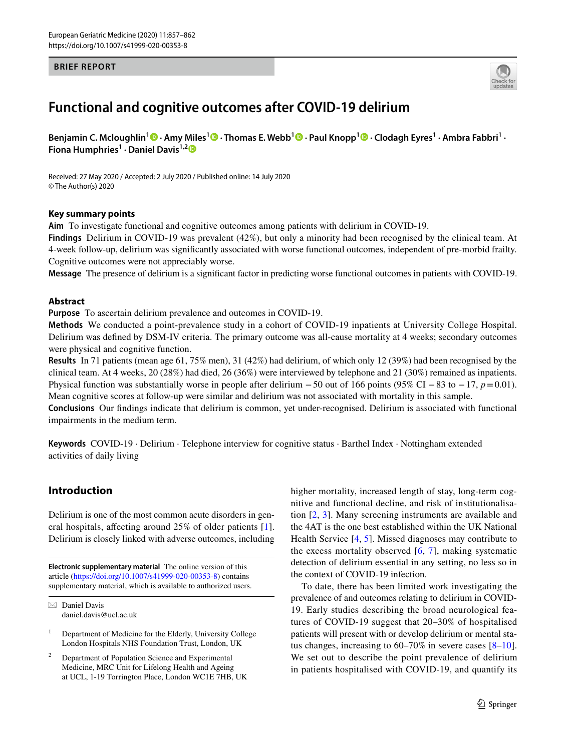#### **BRIEF REPORT**



# **Functional and cognitive outcomes after COVID‑19 delirium**

**Benjamin C. Mcloughlin1 · Amy Miles<sup>1</sup>  [·](http://orcid.org/0000-0002-9008-4599) Thomas E. Webb1  [·](http://orcid.org/0000-0003-4660-2341) Paul Knopp1  [·](http://orcid.org/0000-0003-4356-1927) Clodagh Eyres1 · Ambra Fabbri1 · Fiona Humphries1 · Daniel Davis1,[2](http://orcid.org/0000-0002-1560-1955)**

Received: 27 May 2020 / Accepted: 2 July 2020 / Published online: 14 July 2020 © The Author(s) 2020

#### **Key summary points**

**Aim** To investigate functional and cognitive outcomes among patients with delirium in COVID-19.

**Findings** Delirium in COVID-19 was prevalent (42%), but only a minority had been recognised by the clinical team. At 4-week follow-up, delirium was signifcantly associated with worse functional outcomes, independent of pre-morbid frailty. Cognitive outcomes were not appreciably worse.

**Message** The presence of delirium is a signifcant factor in predicting worse functional outcomes in patients with COVID-19.

#### **Abstract**

**Purpose** To ascertain delirium prevalence and outcomes in COVID-19.

**Methods** We conducted a point-prevalence study in a cohort of COVID-19 inpatients at University College Hospital. Delirium was defned by DSM-IV criteria. The primary outcome was all-cause mortality at 4 weeks; secondary outcomes were physical and cognitive function.

**Results** In 71 patients (mean age 61, 75% men), 31 (42%) had delirium, of which only 12 (39%) had been recognised by the clinical team. At 4 weeks, 20 (28%) had died, 26 (36%) were interviewed by telephone and 21 (30%) remained as inpatients. Physical function was substantially worse in people after delirium −50 out of 166 points (95% CI −83 to −17, *p*=0.01). Mean cognitive scores at follow-up were similar and delirium was not associated with mortality in this sample. **Conclusions** Our fndings indicate that delirium is common, yet under-recognised. Delirium is associated with functional

impairments in the medium term.

**Keywords** COVID-19 · Delirium · Telephone interview for cognitive status · Barthel Index · Nottingham extended activities of daily living

## **Introduction**

Delirium is one of the most common acute disorders in general hospitals, afecting around 25% of older patients [[1](#page-4-0)]. Delirium is closely linked with adverse outcomes, including

**Electronic supplementary material** The online version of this article [\(https://doi.org/10.1007/s41999-020-00353-8\)](https://doi.org/10.1007/s41999-020-00353-8) contains supplementary material, which is available to authorized users.

 $\boxtimes$  Daniel Davis daniel.davis@ucl.ac.uk higher mortality, increased length of stay, long-term cognitive and functional decline, and risk of institutionalisation [[2,](#page-4-1) [3\]](#page-4-2). Many screening instruments are available and the 4AT is the one best established within the UK National Health Service [[4](#page-4-3), [5](#page-4-4)]. Missed diagnoses may contribute to the excess mortality observed  $[6, 7]$  $[6, 7]$  $[6, 7]$  $[6, 7]$  $[6, 7]$ , making systematic detection of delirium essential in any setting, no less so in the context of COVID-19 infection.

To date, there has been limited work investigating the prevalence of and outcomes relating to delirium in COVID-19. Early studies describing the broad neurological features of COVID-19 suggest that 20–30% of hospitalised patients will present with or develop delirium or mental status changes, increasing to 60–70% in severe cases [[8](#page-5-1)[–10](#page-5-2)]. We set out to describe the point prevalence of delirium in patients hospitalised with COVID-19, and quantify its

 $1$  Department of Medicine for the Elderly, University College London Hospitals NHS Foundation Trust, London, UK

Department of Population Science and Experimental Medicine, MRC Unit for Lifelong Health and Ageing at UCL, 1-19 Torrington Place, London WC1E 7HB, UK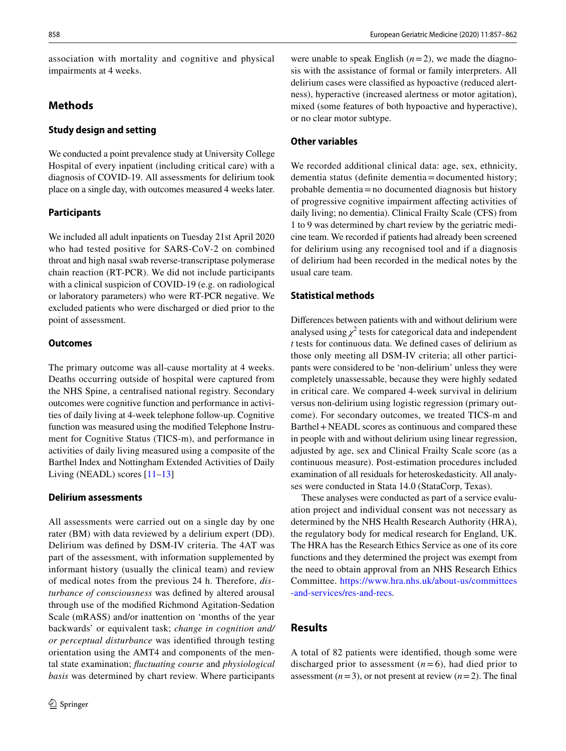association with mortality and cognitive and physical impairments at 4 weeks.

# **Methods**

## **Study design and setting**

We conducted a point prevalence study at University College Hospital of every inpatient (including critical care) with a diagnosis of COVID-19. All assessments for delirium took place on a single day, with outcomes measured 4 weeks later.

# **Participants**

We included all adult inpatients on Tuesday 21st April 2020 who had tested positive for SARS-CoV-2 on combined throat and high nasal swab reverse-transcriptase polymerase chain reaction (RT-PCR). We did not include participants with a clinical suspicion of COVID-19 (e.g. on radiological or laboratory parameters) who were RT-PCR negative. We excluded patients who were discharged or died prior to the point of assessment.

# **Outcomes**

The primary outcome was all-cause mortality at 4 weeks. Deaths occurring outside of hospital were captured from the NHS Spine, a centralised national registry. Secondary outcomes were cognitive function and performance in activities of daily living at 4-week telephone follow-up. Cognitive function was measured using the modifed Telephone Instrument for Cognitive Status (TICS-m), and performance in activities of daily living measured using a composite of the Barthel Index and Nottingham Extended Activities of Daily Living (NEADL) scores  $[11-13]$  $[11-13]$  $[11-13]$ 

## **Delirium assessments**

All assessments were carried out on a single day by one rater (BM) with data reviewed by a delirium expert (DD). Delirium was defned by DSM-IV criteria. The 4AT was part of the assessment, with information supplemented by informant history (usually the clinical team) and review of medical notes from the previous 24 h. Therefore, *disturbance of consciousness* was defned by altered arousal through use of the modifed Richmond Agitation-Sedation Scale (mRASS) and/or inattention on 'months of the year backwards' or equivalent task; *change in cognition and/ or perceptual disturbance* was identifed through testing orientation using the AMT4 and components of the mental state examination; *fuctuating course* and *physiological basis* was determined by chart review. Where participants

were unable to speak English  $(n=2)$ , we made the diagnosis with the assistance of formal or family interpreters. All delirium cases were classifed as hypoactive (reduced alertness), hyperactive (increased alertness or motor agitation), mixed (some features of both hypoactive and hyperactive), or no clear motor subtype.

## **Other variables**

We recorded additional clinical data: age, sex, ethnicity, dementia status (defnite dementia=documented history; probable dementia=no documented diagnosis but history of progressive cognitive impairment afecting activities of daily living; no dementia). Clinical Frailty Scale (CFS) from 1 to 9 was determined by chart review by the geriatric medicine team. We recorded if patients had already been screened for delirium using any recognised tool and if a diagnosis of delirium had been recorded in the medical notes by the usual care team.

# **Statistical methods**

Diferences between patients with and without delirium were analysed using  $\chi^2$  tests for categorical data and independent *t* tests for continuous data. We defned cases of delirium as those only meeting all DSM-IV criteria; all other participants were considered to be 'non-delirium' unless they were completely unassessable, because they were highly sedated in critical care. We compared 4-week survival in delirium versus non-delirium using logistic regression (primary outcome). For secondary outcomes, we treated TICS-m and Barthel+NEADL scores as continuous and compared these in people with and without delirium using linear regression, adjusted by age, sex and Clinical Frailty Scale score (as a continuous measure). Post-estimation procedures included examination of all residuals for heteroskedasticity. All analyses were conducted in Stata 14.0 (StataCorp, Texas).

These analyses were conducted as part of a service evaluation project and individual consent was not necessary as determined by the NHS Health Research Authority (HRA), the regulatory body for medical research for England, UK. The HRA has the Research Ethics Service as one of its core functions and they determined the project was exempt from the need to obtain approval from an NHS Research Ethics Committee. [https://www.hra.nhs.uk/about-us/committees](https://www.hra.nhs.uk/about-us/committees-and-services/res-and-recs) [-and-services/res-and-recs.](https://www.hra.nhs.uk/about-us/committees-and-services/res-and-recs)

# **Results**

A total of 82 patients were identifed, though some were discharged prior to assessment  $(n=6)$ , had died prior to assessment  $(n=3)$ , or not present at review  $(n=2)$ . The final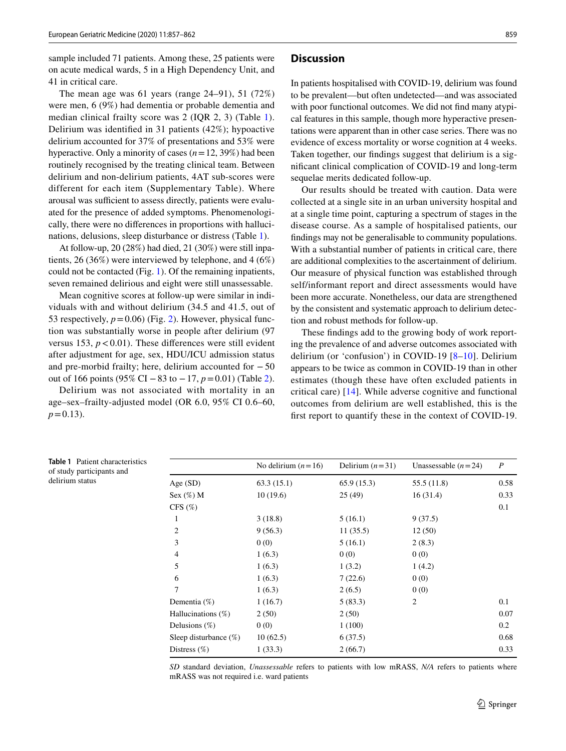sample included 71 patients. Among these, 25 patients were on acute medical wards, 5 in a High Dependency Unit, and 41 in critical care.

The mean age was 61 years (range 24–91), 51 (72%) were men, 6 (9%) had dementia or probable dementia and median clinical frailty score was 2 (IQR 2, 3) (Table [1](#page-2-0)). Delirium was identifed in 31 patients (42%); hypoactive delirium accounted for 37% of presentations and 53% were hyperactive. Only a minority of cases (*n*=12, 39%) had been routinely recognised by the treating clinical team. Between delirium and non-delirium patients, 4AT sub-scores were different for each item (Supplementary Table). Where arousal was sufficient to assess directly, patients were evaluated for the presence of added symptoms. Phenomenologically, there were no diferences in proportions with hallucinations, delusions, sleep disturbance or distress (Table [1\)](#page-2-0).

At follow-up, 20 (28%) had died, 21 (30%) were still inpatients, 26 (36%) were interviewed by telephone, and 4 (6%) could not be contacted (Fig. [1](#page-3-0)). Of the remaining inpatients, seven remained delirious and eight were still unassessable.

Mean cognitive scores at follow-up were similar in individuals with and without delirium (34.5 and 41.5, out of 53 respectively,  $p = 0.06$ ) (Fig. [2](#page-3-1)). However, physical function was substantially worse in people after delirium (97 versus 153,  $p < 0.01$ ). These differences were still evident after adjustment for age, sex, HDU/ICU admission status and pre-morbid frailty; here, delirium accounted for  $-50$ out of 166 points (95% CI −83 to −17, *p*=0.01) (Table [2](#page-4-6)).

Delirium was not associated with mortality in an age–sex–frailty-adjusted model (OR 6.0, 95% CI 0.6–60,  $p=0.13$ ).

#### **Discussion**

In patients hospitalised with COVID-19, delirium was found to be prevalent—but often undetected—and was associated with poor functional outcomes. We did not fnd many atypical features in this sample, though more hyperactive presentations were apparent than in other case series. There was no evidence of excess mortality or worse cognition at 4 weeks. Taken together, our fndings suggest that delirium is a signifcant clinical complication of COVID-19 and long-term sequelae merits dedicated follow-up.

Our results should be treated with caution. Data were collected at a single site in an urban university hospital and at a single time point, capturing a spectrum of stages in the disease course. As a sample of hospitalised patients, our fndings may not be generalisable to community populations. With a substantial number of patients in critical care, there are additional complexities to the ascertainment of delirium. Our measure of physical function was established through self/informant report and direct assessments would have been more accurate. Nonetheless, our data are strengthened by the consistent and systematic approach to delirium detection and robust methods for follow-up.

These fndings add to the growing body of work reporting the prevalence of and adverse outcomes associated with delirium (or 'confusion') in COVID-19 [[8](#page-5-1)[–10\]](#page-5-2). Delirium appears to be twice as common in COVID-19 than in other estimates (though these have often excluded patients in critical care) [\[14](#page-5-5)]. While adverse cognitive and functional outcomes from delirium are well established, this is the frst report to quantify these in the context of COVID-19.

<span id="page-2-0"></span>

| <b>Table 1</b> Patient characteristics<br>of study participants and |                          | No delirium $(n=16)$ | Delirium $(n=31)$ | Unassessable $(n=24)$ | $\boldsymbol{P}$ |
|---------------------------------------------------------------------|--------------------------|----------------------|-------------------|-----------------------|------------------|
| delirium status                                                     | Age (SD)                 | 63.3(15.1)           | 65.9(15.3)        | 55.5(11.8)            | 0.58             |
|                                                                     | Sex $(\%)$ M             | 10(19.6)             | 25(49)            | 16(31.4)              | 0.33             |
|                                                                     | CFS $(\%)$               |                      |                   |                       | 0.1              |
|                                                                     | 1                        | 3(18.8)              | 5(16.1)           | 9(37.5)               |                  |
|                                                                     | $\overline{c}$           | 9(56.3)              | 11(35.5)          | 12(50)                |                  |
|                                                                     | 3                        | 0(0)                 | 5(16.1)           | 2(8.3)                |                  |
|                                                                     | 4                        | 1(6.3)               | 0(0)              | 0(0)                  |                  |
|                                                                     | 5                        | 1(6.3)               | 1(3.2)            | 1(4.2)                |                  |
|                                                                     | 6                        | 1(6.3)               | 7(22.6)           | 0(0)                  |                  |
|                                                                     | 7                        | 1(6.3)               | 2(6.5)            | 0(0)                  |                  |
|                                                                     | Dementia $(\%)$          | 1(16.7)              | 5(83.3)           | 2                     | 0.1              |
|                                                                     | Hallucinations $(\%)$    | 2(50)                | 2(50)             |                       | 0.07             |
|                                                                     | Delusions $(\%)$         | 0(0)                 | 1(100)            |                       | 0.2              |
|                                                                     | Sleep disturbance $(\%)$ | 10(62.5)             | 6(37.5)           |                       | 0.68             |
|                                                                     | Distress $(\%)$          | 1(33.3)              | 2(66.7)           |                       | 0.33             |

*SD* standard deviation, *Unassessable* refers to patients with low mRASS, *N/A* refers to patients where mRASS was not required i.e. ward patients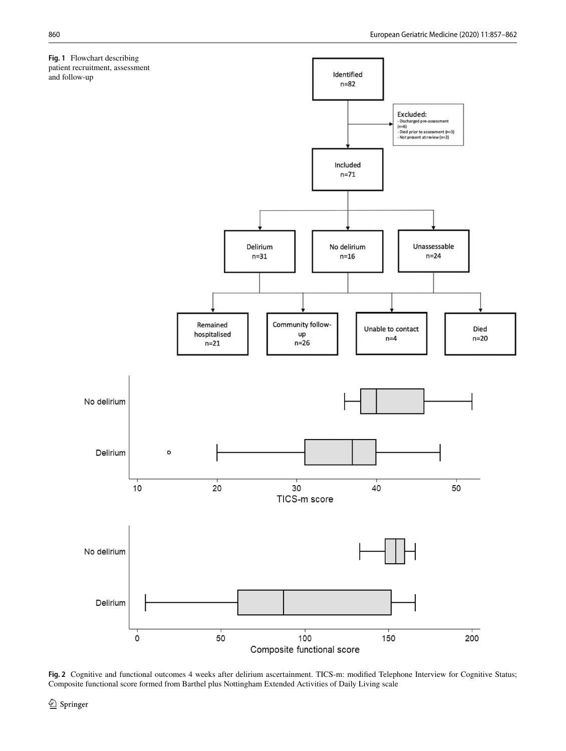<span id="page-3-0"></span>

<span id="page-3-1"></span>**Fig. 2** Cognitive and functional outcomes 4 weeks after delirium ascertainment. TICS-m: modifed Telephone Interview for Cognitive Status; Composite functional score formed from Barthel plus Nottingham Extended Activities of Daily Living scale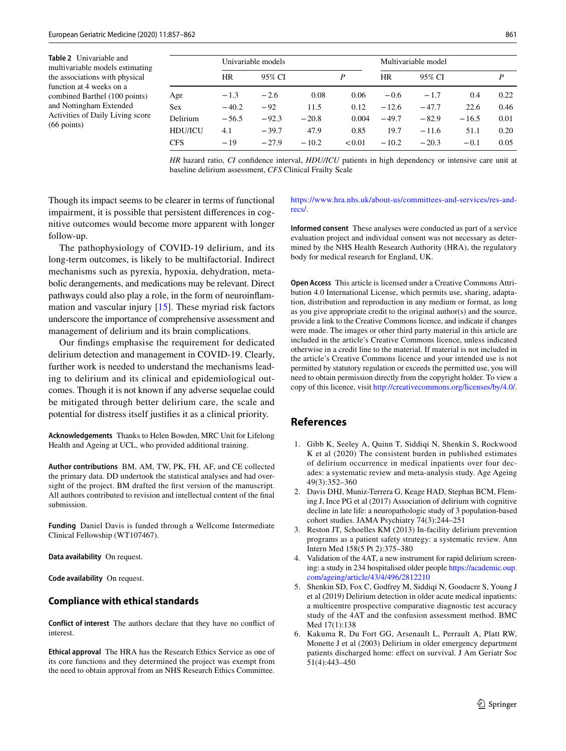<span id="page-4-6"></span>**Table 2** Univariable and multivariable models estimating the associations with physical function at 4 weeks on a combined Barthel (100 points) and Nottingham Extended Activities of Daily Living score (66 points)

|                | Univariable models |         |         |        | Multivariable model |         |         |      |
|----------------|--------------------|---------|---------|--------|---------------------|---------|---------|------|
|                | HR                 | 95% CI  |         | P      | <b>HR</b>           | 95% CI  |         | P    |
| Age            | $-1.3$             | $-2.6$  | 0.08    | 0.06   | $-0.6$              | $-1.7$  | 0.4     | 0.22 |
| <b>Sex</b>     | $-40.2$            | $-92$   | 11.5    | 0.12   | $-12.6$             | $-47.7$ | 22.6    | 0.46 |
| Delirium       | $-56.5$            | $-92.3$ | $-20.8$ | 0.004  | $-49.7$             | $-82.9$ | $-16.5$ | 0.01 |
| <b>HDU/ICU</b> | 4.1                | $-39.7$ | 47.9    | 0.85   | 19.7                | $-11.6$ | 51.1    | 0.20 |
| <b>CFS</b>     | $-19$              | $-27.9$ | $-10.2$ | < 0.01 | $-10.2$             | $-20.3$ | $-0.1$  | 0.05 |

*HR* hazard ratio, *CI* confdence interval, *HDU/ICU* patients in high dependency or intensive care unit at baseline delirium assessment, *CFS* Clinical Frailty Scale

Though its impact seems to be clearer in terms of functional impairment, it is possible that persistent diferences in cognitive outcomes would become more apparent with longer follow-up.

The pathophysiology of COVID-19 delirium, and its long-term outcomes, is likely to be multifactorial. Indirect mechanisms such as pyrexia, hypoxia, dehydration, metabolic derangements, and medications may be relevant. Direct pathways could also play a role, in the form of neuroinfammation and vascular injury [\[15](#page-5-6)]. These myriad risk factors underscore the importance of comprehensive assessment and management of delirium and its brain complications.

Our fndings emphasise the requirement for dedicated delirium detection and management in COVID-19. Clearly, further work is needed to understand the mechanisms leading to delirium and its clinical and epidemiological outcomes. Though it is not known if any adverse sequelae could be mitigated through better delirium care, the scale and potential for distress itself justifes it as a clinical priority.

**Acknowledgements** Thanks to Helen Bowden, MRC Unit for Lifelong Health and Ageing at UCL, who provided additional training.

**Author contributions** BM, AM, TW, PK, FH, AF, and CE collected the primary data. DD undertook the statistical analyses and had oversight of the project. BM drafted the frst version of the manuscript. All authors contributed to revision and intellectual content of the fnal submission.

**Funding** Daniel Davis is funded through a Wellcome Intermediate Clinical Fellowship (WT107467).

**Data availability** On request.

**Code availability** On request.

#### **Compliance with ethical standards**

**Conflict of interest** The authors declare that they have no confict of interest.

**Ethical approval** The HRA has the Research Ethics Service as one of its core functions and they determined the project was exempt from the need to obtain approval from an NHS Research Ethics Committee.

#### [https://www.hra.nhs.uk/about-us/committees-and-services/res-and](https://www.hra.nhs.uk/about-us/committees-and-services/res-and-recs/)[recs/](https://www.hra.nhs.uk/about-us/committees-and-services/res-and-recs/).

**Informed consent** These analyses were conducted as part of a service evaluation project and individual consent was not necessary as determined by the NHS Health Research Authority (HRA), the regulatory body for medical research for England, UK.

**Open Access** This article is licensed under a Creative Commons Attribution 4.0 International License, which permits use, sharing, adaptation, distribution and reproduction in any medium or format, as long as you give appropriate credit to the original author(s) and the source, provide a link to the Creative Commons licence, and indicate if changes were made. The images or other third party material in this article are included in the article's Creative Commons licence, unless indicated otherwise in a credit line to the material. If material is not included in the article's Creative Commons licence and your intended use is not permitted by statutory regulation or exceeds the permitted use, you will need to obtain permission directly from the copyright holder. To view a copy of this licence, visit<http://creativecommons.org/licenses/by/4.0/>.

## **References**

- <span id="page-4-0"></span>1. Gibb K, Seeley A, Quinn T, Siddiqi N, Shenkin S, Rockwood K et al (2020) The consistent burden in published estimates of delirium occurrence in medical inpatients over four decades: a systematic review and meta-analysis study. Age Ageing 49(3):352–360
- <span id="page-4-1"></span>2. Davis DHJ, Muniz-Terrera G, Keage HAD, Stephan BCM, Fleming J, Ince PG et al (2017) Association of delirium with cognitive decline in late life: a neuropathologic study of 3 population-based cohort studies. JAMA Psychiatry 74(3):244–251
- <span id="page-4-2"></span>3. Reston JT, Schoelles KM (2013) In-facility delirium prevention programs as a patient safety strategy: a systematic review. Ann Intern Med 158(5 Pt 2):375–380
- <span id="page-4-3"></span>4. Validation of the 4AT, a new instrument for rapid delirium screening: a study in 234 hospitalised older people [https://academic.oup.](https://academic.oup.com/ageing/article/43/4/496/2812210) [com/ageing/article/43/4/496/2812210](https://academic.oup.com/ageing/article/43/4/496/2812210)
- <span id="page-4-4"></span>5. Shenkin SD, Fox C, Godfrey M, Siddiqi N, Goodacre S, Young J et al (2019) Delirium detection in older acute medical inpatients: a multicentre prospective comparative diagnostic test accuracy study of the 4AT and the confusion assessment method. BMC Med 17(1):138
- <span id="page-4-5"></span>6. Kakuma R, Du Fort GG, Arsenault L, Perrault A, Platt RW, Monette J et al (2003) Delirium in older emergency department patients discharged home: efect on survival. J Am Geriatr Soc 51(4):443–450